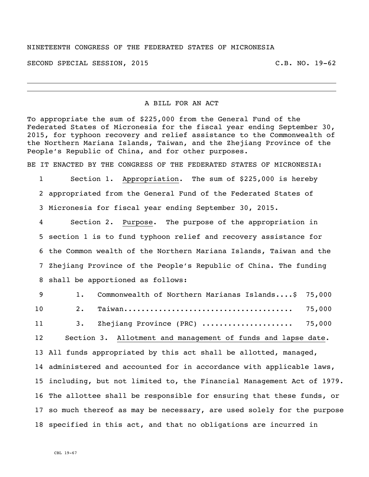## NINETEENTH CONGRESS OF THE FEDERATED STATES OF MICRONESIA

SECOND SPECIAL SESSION, 2015 C.B. NO. 19-62

## A BILL FOR AN ACT

To appropriate the sum of \$225,000 from the General Fund of the Federated States of Micronesia for the fiscal year ending September 30, 2015, for typhoon recovery and relief assistance to the Commonwealth of the Northern Mariana Islands, Taiwan, and the Zhejiang Province of the People's Republic of China, and for other purposes.

BE IT ENACTED BY THE CONGRESS OF THE FEDERATED STATES OF MICRONESIA:

 Section 1. Appropriation. The sum of \$225,000 is hereby appropriated from the General Fund of the Federated States of Micronesia for fiscal year ending September 30, 2015.

 Section 2. Purpose. The purpose of the appropriation in section 1 is to fund typhoon relief and recovery assistance for the Common wealth of the Northern Mariana Islands, Taiwan and the Zhejiang Province of the People's Republic of China. The funding shall be apportioned as follows:

 1. Commonwealth of Northern Marianas Islands....\$ 75,000 2. Taiwan....................................... 75,000 3. Zhejiang Province (PRC) ..................... 75,000 Section 3. Allotment and management of funds and lapse date. All funds appropriated by this act shall be allotted, managed, administered and accounted for in accordance with applicable laws, including, but not limited to, the Financial Management Act of 1979. The allottee shall be responsible for ensuring that these funds, or so much thereof as may be necessary, are used solely for the purpose specified in this act, and that no obligations are incurred in